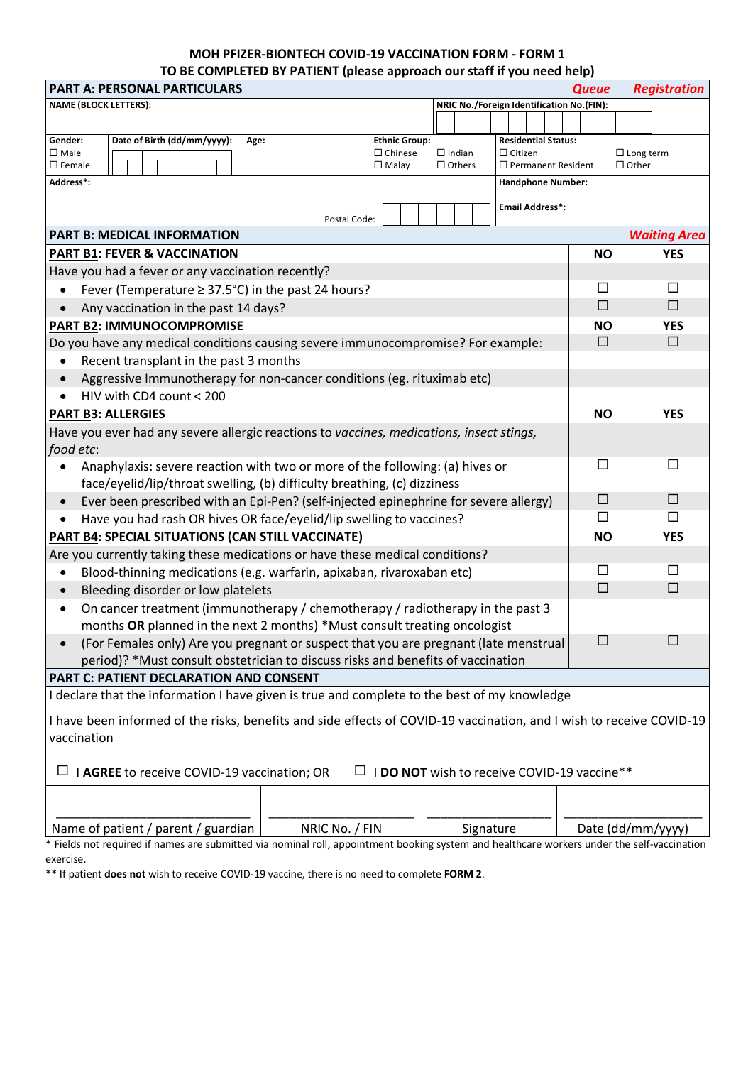## **MOH PFIZER-BIONTECH COVID-19 VACCINATION FORM - FORM 1 TO BE COMPLETED BY PATIENT (please approach our staff if you need help)**

| <b>PART A: PERSONAL PARTICULARS</b><br><b>Registration</b><br><b>Queue</b>                                             |                |                                        |  |               |           |                |                            |  |                   |                     |            |                  |
|------------------------------------------------------------------------------------------------------------------------|----------------|----------------------------------------|--|---------------|-----------|----------------|----------------------------|--|-------------------|---------------------|------------|------------------|
| <b>NAME (BLOCK LETTERS):</b><br>NRIC No./Foreign Identification No.(FIN):                                              |                |                                        |  |               |           |                |                            |  |                   |                     |            |                  |
|                                                                                                                        |                |                                        |  |               |           |                |                            |  |                   |                     |            |                  |
| Date of Birth (dd/mm/yyyy):<br>Gender:<br>Age:<br>$\square$ Male                                                       |                | <b>Ethnic Group:</b><br>$\Box$ Chinese |  | $\Box$ Indian |           | $\Box$ Citizen | <b>Residential Status:</b> |  |                   |                     |            | $\Box$ Long term |
| $\square$ Female                                                                                                       |                | $\Box$ Malay                           |  | $\Box$ Others |           |                | $\Box$ Permanent Resident  |  | $\Box$ Other      |                     |            |                  |
| Address*:                                                                                                              |                |                                        |  |               |           |                | <b>Handphone Number:</b>   |  |                   |                     |            |                  |
| <b>Email Address*:</b><br>Postal Code:                                                                                 |                |                                        |  |               |           |                |                            |  |                   |                     |            |                  |
| <b>PART B: MEDICAL INFORMATION</b>                                                                                     |                |                                        |  |               |           |                |                            |  |                   | <b>Waiting Area</b> |            |                  |
| <b>PART B1: FEVER &amp; VACCINATION</b>                                                                                |                |                                        |  |               |           |                |                            |  | <b>NO</b>         |                     | <b>YES</b> |                  |
| Have you had a fever or any vaccination recently?                                                                      |                |                                        |  |               |           |                |                            |  |                   |                     |            |                  |
| Fever (Temperature ≥ 37.5°C) in the past 24 hours?<br>$\bullet$                                                        |                |                                        |  |               |           |                |                            |  |                   | $\Box$              |            | $\Box$           |
| Any vaccination in the past 14 days?<br>$\bullet$                                                                      |                |                                        |  |               |           |                |                            |  |                   | $\Box$              |            | $\Box$           |
| <b>PART B2: IMMUNOCOMPROMISE</b>                                                                                       |                |                                        |  |               |           |                |                            |  |                   | <b>NO</b>           |            | <b>YES</b>       |
| Do you have any medical conditions causing severe immunocompromise? For example:                                       |                |                                        |  |               |           |                |                            |  |                   | □                   |            | $\Box$           |
| Recent transplant in the past 3 months<br>$\bullet$                                                                    |                |                                        |  |               |           |                |                            |  |                   |                     |            |                  |
| Aggressive Immunotherapy for non-cancer conditions (eg. rituximab etc)<br>$\bullet$                                    |                |                                        |  |               |           |                |                            |  |                   |                     |            |                  |
| HIV with CD4 count < 200<br>$\bullet$                                                                                  |                |                                        |  |               |           |                |                            |  |                   |                     |            |                  |
| <b>PART B3: ALLERGIES</b>                                                                                              |                |                                        |  |               |           |                |                            |  | <b>NO</b>         |                     | <b>YES</b> |                  |
| Have you ever had any severe allergic reactions to vaccines, medications, insect stings,                               |                |                                        |  |               |           |                |                            |  |                   |                     |            |                  |
| food etc:                                                                                                              |                |                                        |  |               |           |                |                            |  |                   |                     |            |                  |
| Anaphylaxis: severe reaction with two or more of the following: (a) hives or<br>$\bullet$                              |                |                                        |  |               |           |                |                            |  |                   | □                   |            | □                |
| face/eyelid/lip/throat swelling, (b) difficulty breathing, (c) dizziness                                               |                |                                        |  |               |           |                |                            |  |                   |                     |            |                  |
| Ever been prescribed with an Epi-Pen? (self-injected epinephrine for severe allergy)<br>$\bullet$                      |                |                                        |  |               |           |                |                            |  | $\Box$            |                     | $\Box$     |                  |
| Have you had rash OR hives OR face/eyelid/lip swelling to vaccines?<br>$\bullet$                                       |                |                                        |  |               |           |                |                            |  | □                 |                     | □          |                  |
| <b>PART B4: SPECIAL SITUATIONS (CAN STILL VACCINATE)</b>                                                               |                |                                        |  |               |           |                |                            |  | <b>NO</b>         |                     | <b>YES</b> |                  |
| Are you currently taking these medications or have these medical conditions?                                           |                |                                        |  |               |           |                |                            |  |                   |                     |            |                  |
| Blood-thinning medications (e.g. warfarin, apixaban, rivaroxaban etc)<br>$\bullet$                                     |                |                                        |  |               |           |                |                            |  | $\Box$            |                     | $\Box$     |                  |
| Bleeding disorder or low platelets<br>$\bullet$                                                                        |                |                                        |  |               |           |                |                            |  | $\Box$            |                     | $\Box$     |                  |
| On cancer treatment (immunotherapy / chemotherapy / radiotherapy in the past 3<br>$\bullet$                            |                |                                        |  |               |           |                |                            |  |                   |                     |            |                  |
| months OR planned in the next 2 months) *Must consult treating oncologist                                              |                |                                        |  |               |           |                |                            |  |                   |                     |            |                  |
| (For Females only) Are you pregnant or suspect that you are pregnant (late menstrual                                   |                |                                        |  |               |           |                |                            |  | $\Box$            |                     | П          |                  |
| period)? *Must consult obstetrician to discuss risks and benefits of vaccination                                       |                |                                        |  |               |           |                |                            |  |                   |                     |            |                  |
| <b>PART C: PATIENT DECLARATION AND CONSENT</b>                                                                         |                |                                        |  |               |           |                |                            |  |                   |                     |            |                  |
| I declare that the information I have given is true and complete to the best of my knowledge                           |                |                                        |  |               |           |                |                            |  |                   |                     |            |                  |
| I have been informed of the risks, benefits and side effects of COVID-19 vaccination, and I wish to receive COVID-19   |                |                                        |  |               |           |                |                            |  |                   |                     |            |                  |
| vaccination                                                                                                            |                |                                        |  |               |           |                |                            |  |                   |                     |            |                  |
|                                                                                                                        |                |                                        |  |               |           |                |                            |  |                   |                     |            |                  |
| $\Box$ <b>I DO NOT</b> wish to receive COVID-19 vaccine**<br>$\Box$ <b>I AGREE</b> to receive COVID-19 vaccination; OR |                |                                        |  |               |           |                |                            |  |                   |                     |            |                  |
|                                                                                                                        |                |                                        |  |               |           |                |                            |  |                   |                     |            |                  |
|                                                                                                                        |                |                                        |  |               |           |                |                            |  |                   |                     |            |                  |
| Name of patient / parent / guardian                                                                                    | NRIC No. / FIN |                                        |  |               | Signature |                |                            |  | Date (dd/mm/yyyy) |                     |            |                  |

\* Fields not required if names are submitted via nominal roll, appointment booking system and healthcare workers under the self-vaccination exercise.

\*\* If patient **does not** wish to receive COVID-19 vaccine, there is no need to complete **FORM 2**.